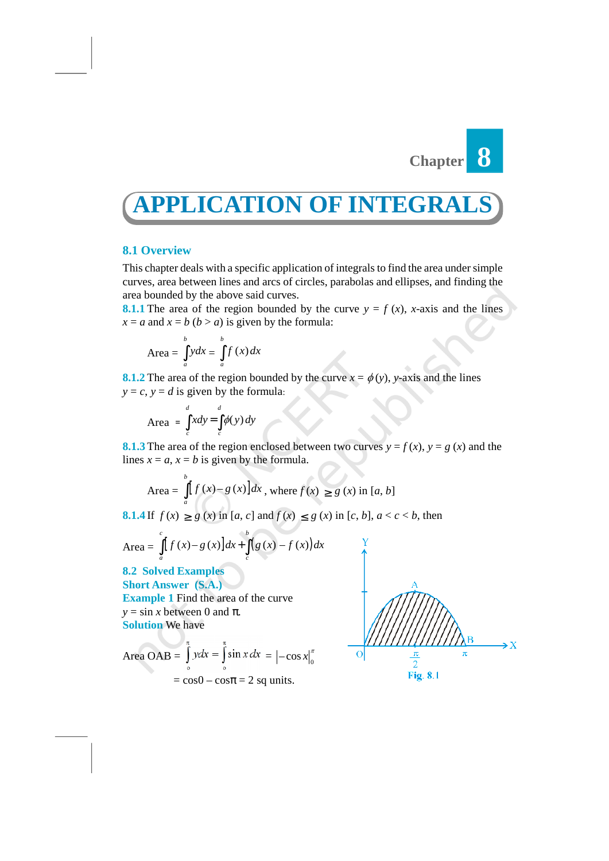

# **APPLICATION OF INTEGRA**

## **8.1 Overview**

This chapter deals with a specific application of integrals to find the area under simple curves, area between lines and arcs of circles, parabolas and ellipses, and finding the area bounded by the above said curves. **LICATION OF IN**<br> **a** *a* **specific application of integral extreme ines and arcs of circles, parabola<br>
by the above said curves.<br>
a of the region bounded by the curve y<br>**  $b (b > a)$  **is given by the formula:<br> \int\_a^b ydx = \int\_a^b f ATION OF INTE(**<br> **a** specific application of integrals to find thes and arcs of circles, parabolas and ellip<br>
ove said curves.<br>
egion bounded by the curve  $y = f(x)$ , x<br>
is given by the formula:<br>  $f(x)dx$ <br>
gion bounded by the **PPLICATION OF I**<br>
Dverview<br>
chapter deals with a specific application of integ<br>
s, area between lines and arcs of circles, parabo<br>
counded by the above said curves.<br>
The area of the region bounded by the curve<br>
and  $x = b$ *d d c c xdy y dy* = ∫ ∫ Diverview<br>
Shapeter deals with a specific application of integrals to find the same between lines and arcs of circles, parabolas and ellip<br>
Downded by the above said curves.<br>
The area of the region bounded by the curve  $y$ **Figure 2** *f* **<b>***x f f f f f f f f f f f f f f f f f <i>f**<i>f**<i>f**<i>f**<i>f**<i>f**<i>f**<i>f**<i>f**<i>f**<i>f**<i>f**<i>f**<i>f**<i>f**<i>f*

**8.1.1** The area of the region bounded by the curve  $y = f(x)$ , *x*-axis and the lines  $x = a$  and  $x = b$  ( $b > a$ ) is given by the formula:

Area = 
$$
\int_{a}^{b} ydx = \int_{a}^{b} f(x)dx
$$

**8.1.2** The area of the region bounded by the curve  $x = \phi(y)$ , *y*-axis and the lines  $x = a$  and  $x = b$  ( $b > a$ ) is given by the it.<br>
Area =  $\int_{a}^{b} ydx = \int_{a}^{b} f(x)dx$ <br>
8.1.2 The area of the region bounded by<br>  $y = c, y = d$  is given by the formula:

$$
Area = \int_{c}^{d} x dy = \int_{c}^{d} \phi(y) dy
$$

**8.1.3** The area of the region enclosed between two curves  $y = f(x)$ ,  $y = g(x)$  and the lines  $x = a$ ,  $x = b$  is given by the formula.

Area = 
$$
\int_{a}^{b} [f(x)-g(x)]dx
$$
, where  $f(x) \ge g(x)$  in [a, b]

**8.1.4** If  $f(x) \ge g(x)$  in  $[a, c]$  and  $f(x) \le g(x)$  in  $[c, b]$ ,  $a < c < b$ , then

**8.1.4** If 
$$
f(x) \ge g(x)
$$
 in  $[a, c]$  and  $f(x) \le g(x)$  in  $[\text{Area} = \int_a^c [f(x)-g(x)]dx + \int_c^b (g(x)-f(x))dx$   
\n**8.2 Solved Examples**  
\n**Short Answer (S.A.)**

**Short Answer (S.A.) Example 1** Find the area of the curve  $y = \sin x$  between 0 and  $\pi$ . **Solution** We have

Area OAB = 
$$
\int_{0}^{\pi} ydx = \int_{0}^{\pi} \sin x dx = \left[-\cos x\right]_{0}^{\pi}
$$

$$
= \cos 0 - \cos \pi = 2 \text{ sq units.}
$$

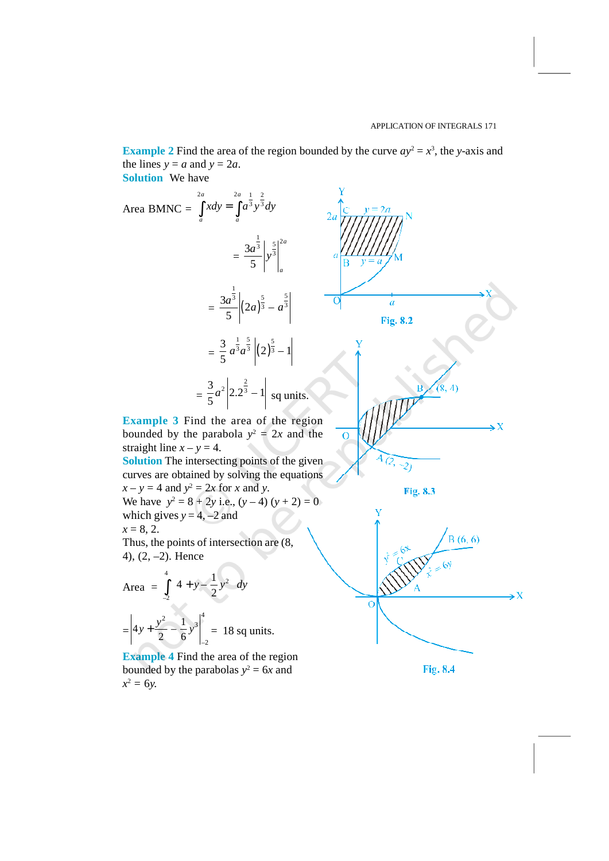Fig. 8.4

**Example 2** Find the area of the region bounded by the curve  $ay^2 = x^3$ , the *y*-axis and the lines  $y = a$  and  $y = 2a$ .

**Solution** We have



**Example 4** Find the area of the region bounded by the parabolas  $y^2 = 6x$  and  $x^2 = 6y$ .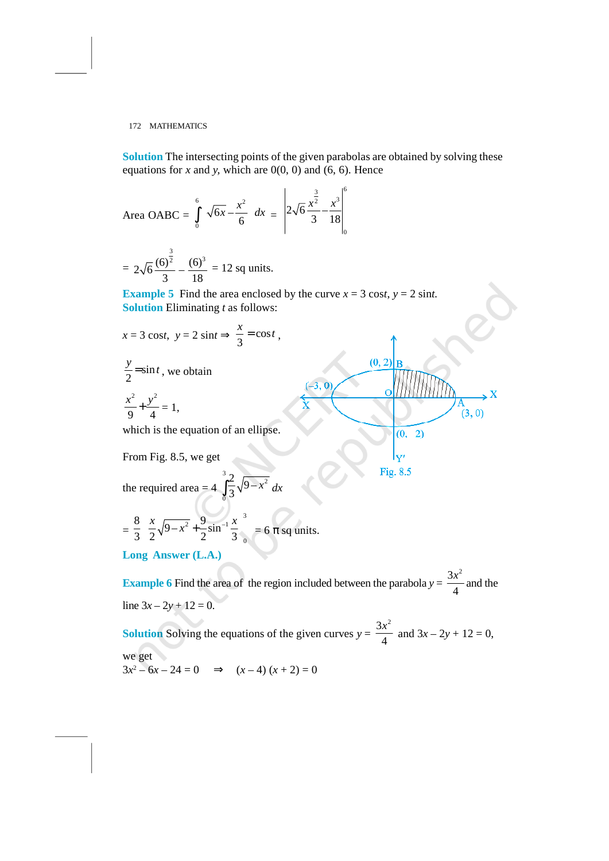**Solution** The intersecting points of the given parabolas are obtained by solving these equations for  $x$  and  $y$ , which are  $0(0, 0)$  and  $(6, 6)$ . Hence he given parabolas are obtained by solving these<br>
(0) and (6, 6). Hence<br>  $2\sqrt{6} \frac{x^{\frac{3}{2}}}{3} - \frac{x^3}{18} \Big|_0^6$ <br>
by the curve  $x = 3 \cos t$ ,  $y = 2 \sin t$ . ven parabolas are obtained by solving these<br>
ad (6, 6). Hence<br>  $\frac{3}{x^2} - \frac{x^3}{18} \Big|_0^6$ <br>  $\therefore$  curve  $x = 3 \cos t, y = 2 \sin t$ . ven parabolas are obtained by solving the<br>
nd (6, 6). Hence<br>  $\frac{x^{\frac{3}{2}}}{3} - \frac{x^3}{18} \Big|_0^6$ 

172 MATHEMATICS  
\nSolution The intersecting points of the given parabolas are obtained by s  
\nequations for x and y, which are 0(0, 0) and (6, 6). Hence  
\nArea OABC = 
$$
\int_{0}^{6} \left(\sqrt{6x} - \frac{x^2}{6}\right) dx = \left|2\sqrt{6} \frac{x^{\frac{3}{2}}}{3} - \frac{x^3}{18}\right|_{0}^{6}
$$
  
\n=  $2\sqrt{6} \frac{(6)^{\frac{3}{2}}}{3} - \frac{(6)^3}{18} = 12$  sq units.  
\nExample 5 Find the area enclosed by the curve  $x = 3 \cos t$ ,  $y = 2 \sin t$ .  
\nSolution Eliminating t as follows:  
\n $x = 3 \cos t$ ,  $y = 2 \sin t \Rightarrow \frac{x}{3} = \cos t$ ,  
\n $\frac{y}{2} = \sin t$ , we obtain  
\n $\frac{x^2}{9} + \frac{y^2}{4} = 1$ ,  
\nwhich is the equation of an ellipse.  
\nFrom Fig. 8.5, we get  
\n $\frac{(0, 2)}{y'}$   
\nFig. 8.5  
\nthe required area =  $4 \int_{0}^{3} \frac{2}{3} \sqrt{9-x^2} dx$ 

 $= 2\sqrt{6} \frac{(6)^{\frac{3}{2}}}{6} - \frac{(6)^3}{6} = 12$  sq units.

**Example 5** Find the area enclosed by the curve  $x = 3 \cos t$ ,  $y = 2 \sin t$ . **Solution** Eliminating *t* as follows:  $\int e^{2x} = \begin{vmatrix} -x^2 & 3 & 18 \end{vmatrix}$ <br>
1 units.<br>
Processed by the curve  $x = 3 \cos t$ ,  $y = 2 \sin t$ <br>
ollows:<br>  $= \cos t$ ,<br>  $\frac{(3, 0)}{x}$ <br>  $\frac{(4, 0)}{x}$ <br>
ollows:<br>  $\frac{(4, 0)}{x}$ <br>
ollows:<br>  $\frac{(0, 2)}{x}$ <br>  $\frac{(0, -2)}{x}$ <br>
Fig. 8.5<br>  $\frac{3}{x}$ <br>

$$
x = 3 \cos t, \ y = 2 \sin t \Longrightarrow \frac{x}{3} = \cos t,
$$

$$
\frac{y}{2} = \sin t, \text{ we obtain}
$$
\n
$$
\frac{x^2}{9} + \frac{y^2}{4} = 1,
$$
\n
$$
(4, 4)
$$

which is the equation of an ellipse.

From Fig. 8.5, we get

the required area = 
$$
4 \int_{0}^{3} \frac{2}{3} \sqrt{9-x^2} dx
$$

the required area = 4 
$$
\int_0^{\infty} \frac{1}{3} \sqrt{9-x} dx
$$
  
\n
$$
= \frac{8}{3} \left[ \frac{x}{2} \sqrt{9-x^2} + \frac{9}{2} \sin^{-1} \frac{x}{3} \right]_0^3 = 6 \pi \text{ sq units.}
$$
\nLong Answer (L.A.)

 $\frac{6}{3}$  –  $\frac{(6)^3}{18}$  = 12 sq units.<br>
5 Find the area enclosed by the curve  $x = 3 \cos t$ ,  $\frac{1}{2}$ <br>
Eliminating *t* as follows:<br>
t,  $y = 2 \sin t \Rightarrow \frac{x}{3} = \cos t$ ,<br>
we obtain<br>
= 1,<br>
the equation of an ellipse.<br>
... 8.5, we get<br>
r  $2\sqrt{6} \frac{(6)^2}{3} - \frac{(6)^2}{18} = 12$  sq units.<br>
ample 5 Find the area enclosed by the curve  $x = 3 \cos t$ ,  $y = 12 \sin t$  in the area enclosed by the curve  $x = 3 \cos t$ ,  $y = 2 \sin t$  and  $y = 3 \cos t$ ,  $y = 2 \sin t \Rightarrow \frac{x}{3} = \cos t$ ,<br>  $= \sin t$ , we obtain  $=\frac{8}{3}\left[\frac{x}{2}\sqrt{9-x^2}+\frac{9}{2}\sin^{-1}\frac{x}{3}\right]_0^3 = 6 \pi$  sq units.<br> **Long Answer (L.A.)**<br> **Example 6** Find the area of the region included between the parabola  $y = \frac{3x^2}{4}$  and the line  $3x - 2y + 12 = 0$  $4 \cdot 4$  $\frac{x^2}{4}$  and the line  $3x - 2y + 12 = 0$ . **Solution** Solving the equations of the given curves  $y = \frac{3x^2}{4}$  and  $3x - 2y + 12 = 0$ ,  $\frac{x^2}{4}$  and  $3x - 2y + 12 = 0$ , we get

 $\mathbf{x}$ 

 $(3, 0)$ 

 $3x^2 - 6x - 24 = 0 \implies (x - 4)(x + 2) = 0$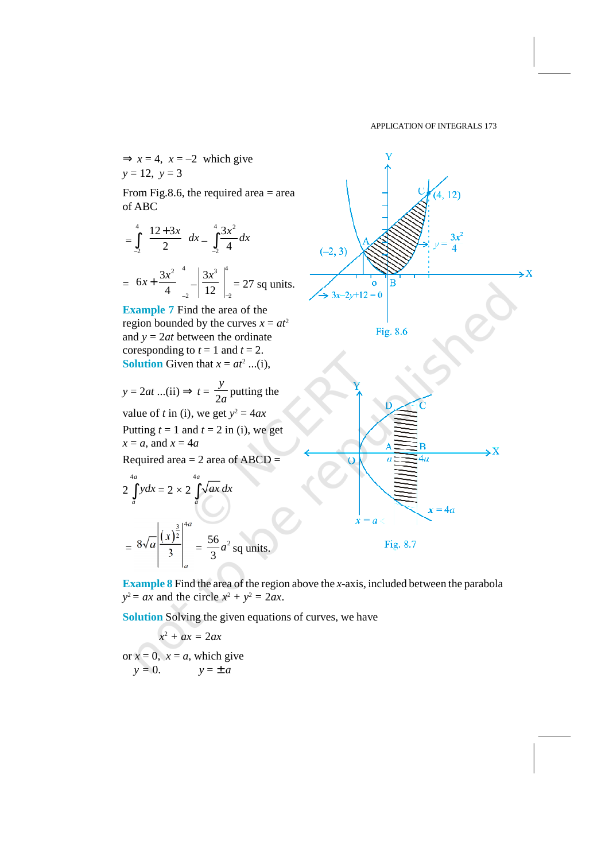

**Example 8** Find the area of the region above the *x*-axis, included between the parabola  $y^2 = ax$  and the circle  $x^2 + y^2 = 2ax$ .

**Solution** Solving the given equations of curves, we have

 $x^2 + ax = 2ax$  $y^2 = ax$  and the circle  $x^2 + y^2 = 2ax$ <br> **Solution** Solving the given equatio<br>  $x^2 + ax = 2ax$ <br>
or  $x = 0$ ,  $x = a$ , which give<br>  $y = 0$ .<br>  $y = \pm a$  $y = 0$ .  $y = \pm a$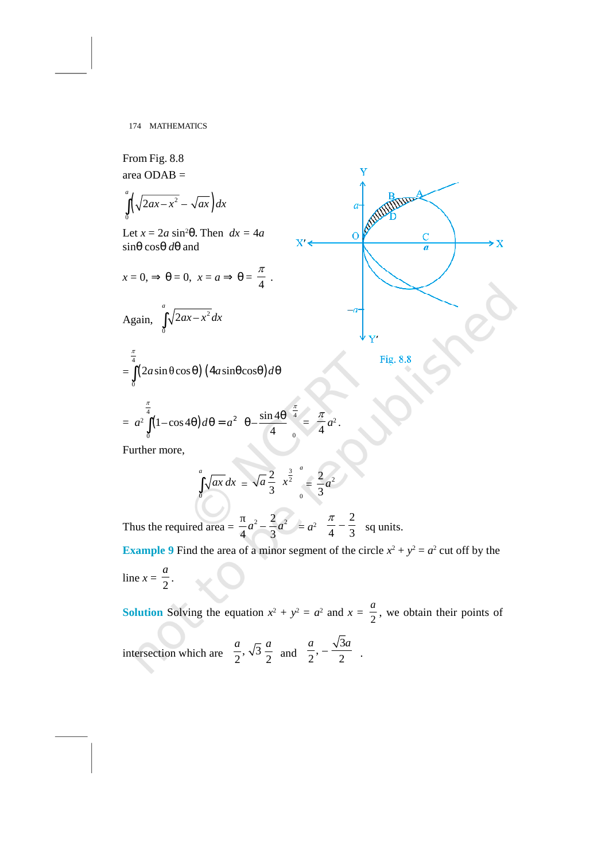From Fig. 8.8 area ODAB =  $\left(\sqrt{2ax-x^2}-\sqrt{ax}\right)dx$  a will then 174 MATHEMATICS<br>
From Fig. 8.8<br>
area ODAB =<br>  $\int_{0}^{a} \left(\sqrt{2ax - x^2} - \sqrt{ax}\right) dx$ <br>  $\int_{0}^{a} (x^2 - x^2) dx$ <br>  $\int_{0}^{a} dx = 2a \sin^2 \theta$ . Then  $dx = 4a$ <br>  $\int_{0}^{a} x^2 dx$ <br>  $\int_{0}^{a} (x^2 - x^2) dx$ <br>  $\int_{0}^{a} dx = 0$ <br>  $\int_{0}^{a} (x^2 - x^2) dx$ <br>  $\int_{0}^{a$ *a ax x ax dx* Let  $x = 2a \sin^2\theta$ . Then  $dx = 4a$ sinθ cosθ *d*θ and Let  $x = 2a \sin^2 \theta$ . Then  $dx = 4a$ <br>  $\sin \theta \cos \theta d\theta$  and<br>  $x = 0, \Rightarrow \theta = 0, \ x = a \Rightarrow \theta = \frac{\pi}{4}$ .  $\frac{\pi}{4}$ . Again,  $\int_{0}^{a} \sqrt{2ax-x^2} dx$ THEMATICS<br>
2. 8.8<br>
AB =<br>  $\frac{1}{x^2} - \sqrt{ax} dx$ <br>
da sin<sup>2</sup>θ. Then  $dx = 4a$ <br>  $\theta = 0$ ,  $x = a \Rightarrow \theta = \frac{\pi}{4}$ .<br>  $\int_0^a \sqrt{2ax - x^2} dx$ <br>
n  $\cos \theta$   $(4a \sin \theta \cos \theta) d\theta$ *a ax x dx* ∫ 174 MATHEMATICS<br>
From Fig. 8.8<br>
area ODAB =<br>  $\int_{0}^{\pi} \sqrt{2ax - x^2} - \sqrt{ax} dx$ <br>
Let  $x = 2a \sin^2 \theta$ . Then  $dx = 4a$ <br>  $\sin \theta \cos \theta d\theta$  and<br>  $x = 0, \Rightarrow \theta = 0, \ x = a \Rightarrow \theta = \frac{\pi}{4}$ .<br>
Again,  $\int_{0}^{\pi} \sqrt{2ax - x^2} dx$ <br>  $=\int_{0}^{\frac{\pi}{2}} (2a \sin \cos \theta) (4a \sin$  $\frac{\pi}{4}$ 174 MATHEMATICS<br>
com Fig. 8.8<br>
ea ODAB =<br>  $(\sqrt{2ax - x^2} - \sqrt{ax}) dx$ <br>
et  $x = 2a \sin^2\theta$ . Then  $dx = 4a$ <br>  $\theta \cos\theta d\theta$  and<br>  $= 0, \Rightarrow \theta = 0, \ x = a \Rightarrow \theta = \frac{\pi}{4}$ .<br>
gain,  $\int_0^4 \sqrt{2ax - x^2} dx$ <br>  $\int_0^{\frac{\pi}{4}} (2a \sin \cos\theta) (4a \sin\theta \cos\theta) d\theta$ <br>  $\pi^2 \int_$  $= a^2 \mid (1-\cos \theta)$ MATHEMATICS<br>
In Fig. 8.8<br>
(ODAB =<br>  $\sqrt{2ax - x^2} - \sqrt{ax} dx$ <br>  $x = 2a \sin^2 \theta$ . Then  $dx = 4a$ <br>  $0, \Rightarrow \theta = 0, x = a \Rightarrow \theta = \frac{\pi}{4}$ .<br>
in,  $\int_0^a \sqrt{2ax - x^2} dx$ <br>  $2a \sin \cos \theta (4a \sin \theta \cos \theta) d\theta$ <br>  $\int_0^{\frac{\pi}{4}} (1 - \cos 4\theta) d\theta = a^2 \left(\theta - \frac{\sin 4\theta}{4}\right)_0^{\frac{\pi$  $\frac{4}{16}$ ,  $\sin 4\theta \overline{)4}$ ,  $\pi$ Fig. 8.8<br>
DDAB =<br>  $2ax-x^2 - \sqrt{ax} dx$ <br>  $= 2a \sin^2\theta$ . Then  $dx = 4a$ <br>  $\Rightarrow \theta = 0, x = a \Rightarrow \theta = \frac{\pi}{4}$ .<br>
n,  $\int_0^a \sqrt{2ax-x^2} dx$ <br>  $= 2a \sin^2\theta$ .  $\theta = 0, x = a \Rightarrow \theta = \frac{\pi}{4}$ .<br>  $\int_0^a \sqrt{2ax-x^2} dx$ <br>  $= \int_0^a \sqrt{ax} dx = \sqrt{a} \frac{2}{3} \left(x^{\frac{3}{2}}\right)_0^a = \frac{\$  $4\frac{1}{2}$  4  $f(x)dx$ <br>
Then  $dx = 4a$ <br>  $f(x)dx$ <br>  $f(x)dx$ <br>  $f(x)dx$ <br>  $f(x)dx$ <br>  $f(x)dx$ <br>  $f(x)dx = x^2 \left(\theta - \frac{\sin 4\theta}{4}\right)_0^{\frac{\pi}{4}} = \frac{\pi}{4}a^2$ .<br>  $f(x)dx = \sqrt{a}\frac{2}{3}\left(\frac{3}{2}\right)_0^{\frac{\pi}{2}} = \frac{2}{3}a^2$ Fig. 8.8<br>
DDAB =<br>  $2ax-x^2 - \sqrt{ax}$  dx<br>  $= 2a \sin^2\theta$ . Then  $dx = 4a$ <br>  $\cos\theta d\theta$  and<br>  $\Rightarrow \theta = 0$ ,  $x = a \Rightarrow \theta = \frac{\pi}{4}$ .<br>  $\int_{0}^{a} \sqrt{2ax-x^2} dx$ <br>  $\int_{0}^{a} \sqrt{2ax-x^2} dx$ <br>  $\int_{0}^{a} (1-\cos 4\theta) d\theta = a^2 \left(\theta - \frac{\sin 4\theta}{4}\right)_0^{\frac{\pi}{4}} = \frac{\pi}{4}a^2$ .<br>  $\frac{\pi}{4}$  $=\frac{4}{4}a^2$ . π  $a^2$ . 2 . Further more,  $\sim$  0  $\sim$  0 Then  $dx = 4a$ <br>  $x = a \Rightarrow \theta = \frac{\pi}{4}$ .<br>  $\frac{x^2}{2}dx$ <br>  $\left(\frac{4a\sin\theta\cos\theta}{4}\right)d\theta$ <br>  $\left(\frac{4a\sin\theta\cos\theta}{4}\right)d\theta = a^2\left(\theta - \frac{\sin 4\theta}{4}\right)_0^{\frac{\pi}{4}} = \frac{\pi}{4}a^2$ .<br>  $\int_0^a \sqrt{ax} dx = \sqrt{a}\frac{2}{3}\left(\frac{x^3}{2}\right)_0^a = \frac{2}{3}a^2$ <br>  $d \text{ area} = \frac{\pi}{4}a^2 - \frac{2}{3}$  $\frac{2}{3}\left(x^{\frac{3}{2}}\right)_0 = \frac{2}{3}a^2$ *a a x*  $X' \leftarrow$ <br>  $\begin{array}{c}\n\frac{a}{a} \\
\frac{10}{x} \\
\frac{10}{b} \\
\frac{10}{a} \\
\frac{2}{b} \\
\frac{3}{c} \\
\frac{10}{a} \\
\frac{2}{a} \\
\frac{2}{a^2} \\
\frac{10}{a^2} \\
\frac{2}{a^2} \\
\frac{2}{a^2} \\
\frac{2}{a^2} \\
\frac{2}{a^2} \\
\frac{2}{a^2} \\
\frac{2}{a^2} \\
\frac{2}{a^2} \\
\frac{2}{a^2} \\
\frac{2}{a^2} \\
\frac{2}{a^2} \\
\frac{2}{a^2} \\
\frac{2$  $a^2$  $\theta = \frac{\pi}{4}$ .<br>  $\cos\theta d\theta$ <br>  $\left(\theta - \frac{\sin 4\theta}{4}\right)^{\frac{\pi}{4}} = \frac{\pi}{4}a^2$ .<br>  $= \sqrt{a}\frac{2}{3}\left(\frac{3}{x^2}\right)^a_0 = \frac{2}{3}a^2$ <br>  $= a^2 \left(\frac{\pi}{4} - \frac{2}{3}\right)$  sq units.<br>
of a minor segment of the circle  $x^2 + y^2 = a^2$  cu  $\theta = \frac{\pi}{4}$ .<br>  $\cos\theta d\theta$ <br>  $\left(\theta - \frac{\sin 4\theta}{4}\right)_0^{\frac{\pi}{4}} = \frac{\pi}{4}a^2$ .<br>  $= \sqrt{a}\frac{2}{3}\left(\frac{3}{2}\right)_0^{\frac{\pi}{2}} = \frac{2}{3}a^2$ <br>  $\frac{2}{4}a^2 - \frac{2}{3}a^2 = a^2\left(\frac{\pi}{4} - \frac{2}{3}\right)$  sq units.<br>
of a minor segment of the circle  $x^2 + y^2 = a^2$  c  $a = \frac{\pi}{4}$ .<br>  $\cos\theta$ )  $d\theta$ <br>  $a = \frac{\sin 4\theta}{4} \int_{0}^{\frac{\pi}{4}} = \frac{\pi}{4} a^{2}$ .<br>  $\sqrt{a} \frac{2}{3} \left(\frac{3}{x^{2}}\right)_{0}^{a} = \frac{2}{3} a^{2}$ <br>  $a^{2} - \frac{2}{3} a^{2} = a^{2} \left(\frac{\pi}{4} - \frac{2}{3}\right)$ ,<br>  $a = \frac{2}{3} a^{2}$  and  $a = \frac{2}{3} a^{2}$ .  $\frac{a^2}{x}$ <br>Fig. 8.8<br><br> $\frac{a^2}{4} - \frac{2}{3}$  sq units.<br>of the circle  $x^2 + y^2 = a^2$  cut off by the<br>and  $x = \frac{a}{2}$ , we obtain their points of a<br>  $\frac{a}{1 + a^2}$ <br>  $\frac{a}{1 + a^2}$ .<br>
Fig. 8.8<br>  $\int \frac{\pi}{4} a^2$ .<br>  $\int \frac{a}{4} a^2$ .<br>  $\int \frac{a}{4} a^2$ .<br>  $\int \frac{a}{4} a^2$ .<br>  $\int \frac{a}{4} a^2$ .<br>  $\int \frac{a}{4} a^2$ .<br>  $\int \frac{a}{4} a^2$ .<br>  $\int \frac{a}{4} a^2$ .<br>  $\int \frac{a}{4} a^2$ .<br>  $\int \frac{a}{4} a^2$ .<br>  $\int \frac{a$  $\int_{0}^{\frac{\pi}{2}} (1-\cos 4\theta) d\theta = a^2 \left(\theta - \frac{\sin 4\theta}{4}\right)_0^{\frac{\pi}{4}} = \frac{\pi}{4} a^2.$ <br>
Further more,<br>  $\int_{0}^{a} \sqrt{ax} dx = \sqrt{a} \frac{2}{3} \left(x^{\frac{3}{2}}\right)_0^{\frac{\pi}{2}} = \frac{2}{3} a^2$ <br>
Thus the required area  $= \frac{\pi}{4} a^2 - \frac{2}{3} a^2 = a^2 \left(\frac{\pi}{4} - \frac{2}{3}\right)$  $2^2 \left(\theta - \frac{\sin 4\theta}{4}\right)_0^{\frac{\pi}{4}} = \frac{\pi}{4}a^2.$ <br>  $\frac{2}{4}a^2 - \frac{2}{3}a^2 = a^2\left(\frac{\pi}{4} - \frac{2}{3}\right)$  sq units.<br>
of a minor segment of the circle  $x^2 + y^2 = a^2$  cu<br>
uation  $x^2 + y^2 = a^2$  and  $x = \frac{a}{2}$ , we obtain th<br>  $\frac{a}{2}$ ,  $\sqrt$ *a*<sup>2</sup>  $\left(\theta - \frac{\sin 4\theta}{4}\right)$   $\frac{\pi}{4}$  =  $\frac{\pi}{4}a^2$ .<br> *dx* =  $\sqrt{a} \frac{2}{3} \left(x^{\frac{3}{2}}\right)_{0}^{a} = \frac{2}{3}a^2$ <br>
=  $\frac{2}{3}a^2 - a^2\left(\frac{\pi}{4} - \frac{2}{3}\right)$  sq units.<br>
ea of a minor segment of the circle *x*<sup>2</sup> + *y*<sup>2</sup> = *a*<sup>2</sup> c  $\frac{\pi}{4}a^2$ .<br>  $\frac{2}{3}a^2$ <br>  $\cdot \left(\frac{\pi}{4} - \frac{2}{3}\right)$  sq units.<br>
ent of the circle  $x^2 + y^2 = a^2$  cut off by the<br>  $a^2$  and  $x = \frac{a}{2}$ , we obtain their points of<br>  $a^2 - \frac{\sqrt{3}a}{2}$ .  $rac{\pi}{4}a^2$ .<br>  $=\frac{2}{3}a^2$ <br>  $a^2\left(\frac{\pi}{4} - \frac{2}{3}\right)$  sq units.<br>
enent of the circle  $x^2 + y^2 = a^2$  cut off by the<br>  $= a^2$  and  $x = \frac{a}{2}$ , we obtain their points of<br>  $\frac{a}{2}, -\frac{\sqrt{3}a}{2}$ .  $=\frac{\pi}{4}a^2$ .<br>  $=\frac{2}{3}a^2$ <br>  $=a^2\left(\frac{\pi}{4}-\frac{2}{3}\right)$ sq units.<br>
Express to the circle  $x^2 + y^2 = a^2$  cut off by the<br>  $=a^2$  and  $x = \frac{a}{2}$ , we obtain their points of<br>  $\left(\frac{a}{2}, -\frac{\sqrt{3}a}{2}\right)$ .  $=\frac{\pi}{4}a^2.$ <br>  $=\frac{2}{3}a^2$ <br>  $=a^2\left(\frac{\pi}{4}-\frac{2}{3}\right)$ sq units.<br>
sment of the circle  $x^2 + y^2 = a^2$  cut off by t<br>  $=a^2$  and  $x = \frac{a}{2}$ , we obtain their points<br>  $\left(\frac{a}{2}, -\frac{\sqrt{3}a}{2}\right)$ .

Thus the required area =  $-a^2 - \frac{1}{2}a$  $\left(\frac{\pi}{4}-\frac{2}{3}\right)$  sq units.

**Example 9** Find the area of a minor segment of the circle  $x^2 + y^2 = a^2$  cut off by the *a*

line  $x = \frac{1}{2}$ .

**Solution** Solving the equation  $x^2 + y^2 = a^2$  and  $x = \frac{a}{2}$ , we obtain their points of intersection which are  $\left(\frac{a}{2}, \sqrt{3}\frac{a}{2}\right)$  and  $\left(\frac{a}{2}, -\frac{\sqrt{3}a}{2}\right)$ .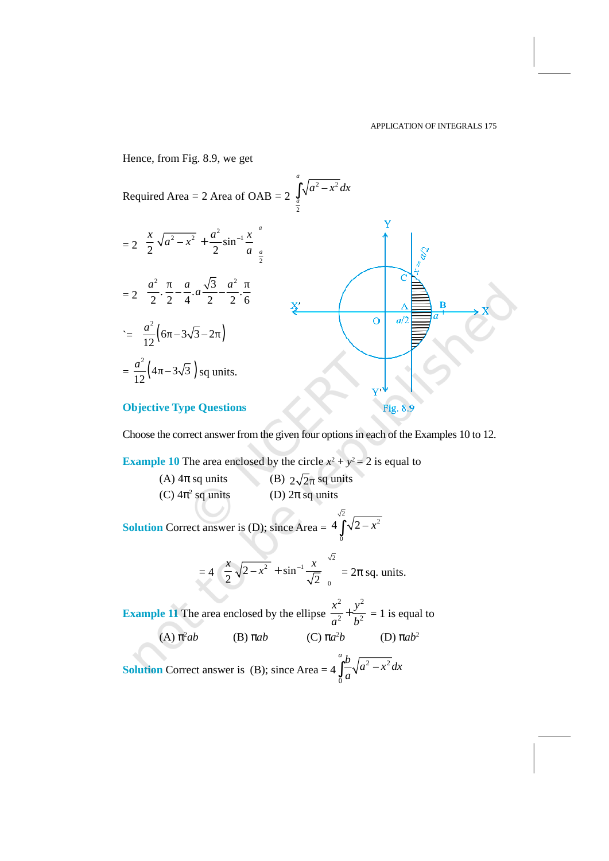Hence, from Fig. 8.9, we get APPLICATION OF 1<br>
Hence, from Fig. 8.9, we get<br>
Required Area = 2 Area of OAB =  $2 \int_{\frac{a}{2}}^{a} \sqrt{a^2 - x^2} dx$  $\int_{\frac{a}{2}} \sqrt{a^2 - x^2} dx$ *a* APPLICATION OF INTEGRALS 175<br>  $\int_{\frac{a}{2}}^{a} \sqrt{a^2 - x^2} dx$  $= 2 \left[ \frac{x}{2} \sqrt{a^2 - x^2} + \frac{a^2}{2} \sin^{-1} \frac{x}{a} \right]_a^a$ m Fig. 8.9, we get<br>
Area = 2 Area of OAB = 2  $\int_{\frac{a}{2}}^{a} \sqrt{a^2 - x^2} a$ <br>  $\frac{a}{2} - x^2 + \frac{a^2}{2} \sin^{-1} \frac{x}{a} \Big|_{\frac{a}{2}}^{a}$ <br>  $\frac{a}{2} - \sqrt{3} a^2 = 1$ APPLICATI<br>
Prig. 8.9, we get<br>
rea = 2 Area of OAB = 2  $\int_{\frac{a}{2}}^{a} \sqrt{a^2 - x^2} dx$ <br>  $\frac{a^2}{a^2} + \frac{a^2}{2} \sin^{-1} \frac{x}{a} \Big|_{\frac{a}{2}}^{a}$ <br>  $\left[ \frac{a}{4} \cdot a \frac{\sqrt{3}}{2} - \frac{a^2}{2} \cdot \frac{a}{6} \right]$ <br>  $\frac{x}{2}$  $\frac{x}{2} \sqrt{a^2 - x^2} + \frac{a^2}{2} \sin^{-1} \frac{x}{a}$  $\begin{array}{ccc} \n\begin{array}{ccc} 2 & \cdots & \cdots & \cdots & \cdots & \cdots & \cdots & \cdots & \cdots & \cdots & \cdots & \cdots & \cdots & \cdots & \cdots & \cdots & \cdots & \cdots & \cdots & \cdots & \cdots & \cdots & \cdots & \cdots & \cdots & \cdots & \cdots & \cdots & \cdots & \cdots & \cdots & \cdots & \cdots & \cdots & \$ *a a x a x* om Fig. 8.9, we get<br>
Area = 2 Area of OAB = 2  $\int_{\frac{a}{2}}^{a} \sqrt{a^2 - x^2} dx$ <br>  $\frac{a^2 - x^2}{a^2 - x^2} + \frac{a^2}{2} \sin^{-1} \frac{x}{a} \Big|_{\frac{a}{2}}^{a}$ <br>  $\frac{a^2 - a}{2} dx = \frac{a}{2} \cdot \frac{\sqrt{3}}{6}$   $\frac{a^2}{2} dx$ Hence, from Fig. 8.9, we get<br>
Required Area = 2 Area of OAB =  $2 \int_{\frac{\pi}{2}}^{\frac{\pi}{2}} \sqrt{a^2 - x^2} dx$ <br>
=  $2 \left[ \frac{x}{2} \sqrt{a^2 - x^2} + \frac{a^2}{2} \sin^{-1} \frac{x}{a} \right]_{\frac{\pi}{2}}^{\frac{\pi}{2}}$ <br>
=  $2 \left[ \frac{a^2}{2} \cdot \frac{\pi}{2} - \frac{a}{4} \cdot a \frac{\sqrt{3}}{2} - \frac{a^2}{2} \$ 2<br>
2. (6 -3 $\sqrt{3}$  -2 2 3 2 3 3 4 2 2 3 2 3 3 4 2 3 3 4 2 3 3 3 4 3 3 3 4 3 3 3 4 3 3 3 4 3 3 3 4 3 3 3 4 3 3 3 4 3 3 3 4 3 3 3 4 3 3 3 4 3 3 3 4 3 3 3 4 3 3 3 4 3 3 3 4 3 3 3 4 3 3 3 4 3 3 3 4 3 3 3 4 3 3 3 4 3 3 3 4 3 3  $a^2$   $a \sqrt{3} a^2$  |  $\sqrt{3} a^2$  |  $\sqrt{3} a^2$  |  $\sqrt{3} a^2$  |  $\sqrt{3} a^2$  |  $\sqrt{3} a^2$  |  $\sqrt{3} a^2$  |  $\sqrt{3} a^2$  |  $\sqrt{3} a^2$  |  $\sqrt{3} a^2$  |  $\sqrt{3} a^2$  |  $\sqrt{3} a^2$  |  $\sqrt{3} a^2$  |  $\sqrt{3} a^2$  |  $\sqrt{3} a^2$  |  $\sqrt{3} a^2$  |  $\sqrt{3}$  $\left[\frac{1}{2}, \frac{1}{2}, \frac{1}{4}, a\frac{1}{2}, \frac{1}{2}, \frac{1}{6}\right]$  $\begin{bmatrix} 2 & 2 & 4 & 2 & 2 & 0 \end{bmatrix}$   $\begin{bmatrix} x' & y' \end{bmatrix}$ a *PPLICAT*<br>
e, from Fig. 8.9, we get<br>
ired Area = 2 Area of OAB = 2  $\int_{\frac{a}{2}}^{a} \sqrt{a^2 - x^2} dx$ <br>  $\frac{x}{2} \sqrt{a^2 - x^2} + \frac{a^2}{2} \sin^{-1} \frac{x}{a} \Big|_{\frac{a}{2}}^{a}$ <br>  $\frac{a^2}{2} \cdot \frac{a}{2} - \frac{a}{4} \cdot a \frac{\sqrt{3}}{2} - \frac{a^2}{2} \cdot \frac{a}{6}$ <br>  $\frac{a$  $a\frac{\sqrt{3}}{2} - \frac{a}{2} - \frac{1}{2}$  /  $\leq \frac{1}{12}(6 - 3\sqrt{3} - 2)$ 2  $-$ APPLIC<br>
Fig. 8.9, we get<br>  $A \text{Area} = 2 \text{ Area of OAB} = 2 \int_{\frac{\pi}{2}}^{\pi} \sqrt{a^2 - x^2} dx$ <br>  $\sqrt{a^2 - x^2} + \frac{a^2}{2} \sin^{-1} \frac{x}{a} \Big|_{\frac{\pi}{2}}^{\pi}$ <br>  $\cdot \frac{\pi}{2} - \frac{a}{4} \cdot a \frac{\sqrt{3}}{2} - \frac{a^2}{2} \cdot \frac{a^2}{6} \Big|$ <br>  $\frac{x}{2}$ <br>  $\frac{\pi}{6} - 3\sqrt{3} - 2 \Big)$ <br>  $12^{\binom{2}{1}}$  $a^{2}$  (c  $a\sqrt{2}a$ ) APPLICAT<br>
Hence, from Fig. 8.9, we get<br>
Required Area = 2 Area of OAB =  $2 \int_{\frac{\pi}{2}}^{\frac{\pi}{2}} \sqrt{a^2 - x^2} dx$ <br>
=  $2 \left[ \frac{x}{2} \sqrt{a^2 - x^2} + \frac{a^2}{2} \sin^{-1} \frac{x}{a} \right]_{\frac{\pi}{2}}^{\pi}$ <br>
=  $2 \left[ \frac{a^2}{2} \cdot \frac{\pi}{2} - \frac{a}{4} \cdot a \frac{\sqrt{3}}{2} - \frac{a$ 2  $-$ , from Fig. 8.9, we get<br>
red Area = 2 Area of OAB = 2  $\int_{\frac{a}{2}}^{a} \sqrt{a^2 - x^2} dx$ <br>  $\left[\sqrt{a^2 - x^2} + \frac{a^2}{2} \sin^{-1} \frac{x}{a}\right]_{\frac{a}{2}}^{a}$ <br>  $\left[\frac{a^2}{2} - \frac{a}{2} - \frac{a}{4} \cdot a \frac{\sqrt{3}}{2} - \frac{a^2}{2} \cdot \frac{a}{6}\right]$ <br>  $\frac{a^2}{2}$ <br>
4 -3 $\sqrt{3$  $12^{\binom{1}{2}}$  $\frac{a^2}{2}$  (4 – 3 $\sqrt{3}$ ) sq units.  $\sqrt{a^2 - x^2} + \frac{a^2}{2} \sin^{-1} \frac{x}{a} \Big|_2^a$ <br>  $-\frac{a}{2} - \frac{a}{4} \cdot a \frac{\sqrt{3}}{2} - \frac{a^2}{2} \cdot \frac{a}{6}$ <br>  $\left[\frac{8}{2}\right]$ <br>  $\left[\frac{6}{2} - 3\sqrt{3} - 2\right]$ <br>  $-3\sqrt{3}$  ) sq units.<br>
We Type Questions<br>
the correct answer from the given four opti 0 4 2 – *x* ∫ 0 2 – sin **Fig. 8.9**<br> **i** Fig. 8.9<br> **i** Fig. 8.9<br> **i** Fig. 8.9<br> **i** Fig. 8.9<br> **i** Fig. 8.9<br> **i** Fig. 8.9<br> **i** Theory<br> **i** Fig. 8.9<br> **i** Theory<br> **i** Theory<br> **i** Theory<br> **i** Theory<br> **i** Theory<br> **i** Theory<br> **i** Theory<br> **i** Theory<br> **i** Fig. 8.9<br>
bions in each of the Examples 10 to 12.<br>  $a^2 + y^2 = 2$  is equal to<br>
units<br>
ts<br>  $4 \int_0^{\sqrt{2}} \sqrt{2-x^2}$ <br>  $= 2\pi$  sq. units.<br>  $\frac{x^2}{a^2} + \frac{y^2}{b^2} = 1$  is equal to<br>  $a^2b$  (D)  $\pi ab^2$ <br>  $4 \int_0^a \frac{b}{a} \sqrt{a^2 - x^2} dx$ 

## **Objective Type Questions**

Choose the correct answer from the given four options in each of the Examples 10 to 12.

**Example 10** The area enclosed by the circle  $x^2 + y^2 = 2$  is equal to

(C)  $4\pi^2$  sq units sect answer from the given four options in e<br>
in earch area enclosed by the circle  $x^2 + y^2 = 2$ <br>
sq units (B)  $2\sqrt{2}$  sq units<br>
sq units (D)  $2\pi$  sq units

**Solution** Correct answer is (D); since Area =  $4 \int_{0}^{\sqrt{2}} \sqrt{2-x^2}$ 2

at answer from the given four options in each of the Examples 10 to 12  
the area enclosed by the circle 
$$
x^2 + y^2 = 2
$$
 is equal to  
q units (B)  $2\sqrt{2}$  sq units  
soq units (D)  $2\pi$  sq units  
at answer is (D); since Area =  $4\int_0^{\sqrt{2}} \sqrt{2-x^2}$   
=  $4\left(\frac{x}{2}\sqrt{2-x^2} + \sin^{-1}\frac{x}{\sqrt{2}}\right)_0^{\sqrt{2}} = 2\pi$  sq. units.  
the area enclosed by the ellipse  $\frac{x^2}{2} + \frac{y^2}{2} = 1$  is equal to

**Example 11** The area enclosed by the ellipse  $\frac{x}{2} + \frac{y}{12} = 1$  is equal to 2 2 +  $y^2 = 2$  is equal to<br>nits<br> $\int_{0}^{\sqrt{2}} \sqrt{2-x^2}$ <br> $= 2\pi$  sq. units.<br> $\frac{2}{2} + \frac{y^2}{b^2} = 1$  is equal to<br> $\int_{0}^{2} b \sqrt{a^2 - x^2} dx$ (A)  $π<sup>2</sup>ab$ <sup>2</sup>*ab* (B) π*ab* (C) π*a*  $(D)$  π*ab*<sup>2</sup> **Solution** Correct answer is (B); since Area =  $4 \int_{0}^{2} \sqrt{a^2 - x^2} dx$ 2 2  $\int_a^a b \sqrt{2^2}$ Fig. 8.9<br>
n each of the Examples 10 to 12.<br>  $= 2$  is equal to<br>  $\frac{a}{x^2 - x^2}$ <br> *x*  $\frac{a}{x^2 - x^2}$ <br> *a*  $\frac{a}{x^2 - x^2}$  *dx*  $\int_{0}^{2} \sqrt{a^2 - x^2} dx$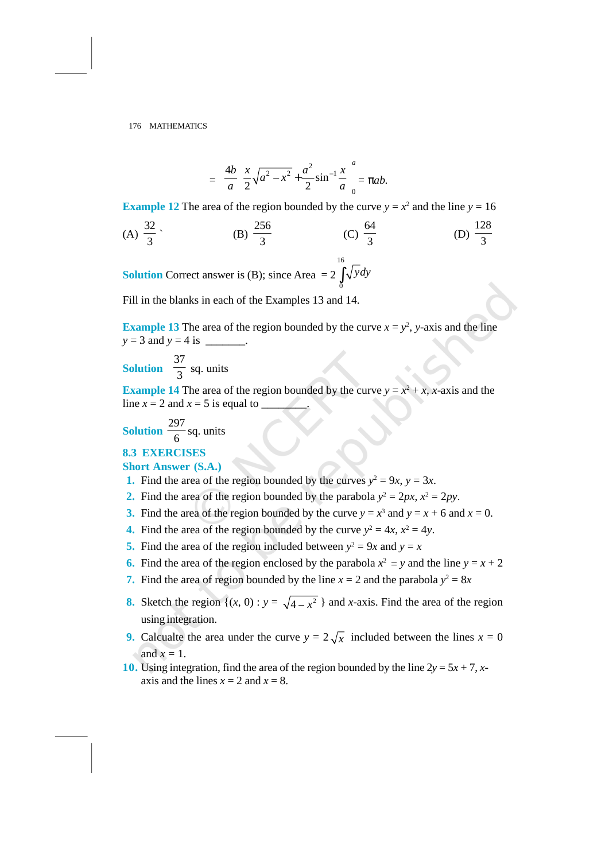$$
\begin{aligned}\n\text{RHS} \\
&= \frac{4b}{a} \left[ \frac{x}{2} \sqrt{a^2 - x^2} + \frac{a^2}{2} \sin^{-1} \frac{x}{a} \right]_0^a = \pi a b. \\
\text{RHS} \\
\text{RHS} \\
\text{RHS} \\
\text{RHS} \\
\text{RHS} \\
\text{RHS} \\
\text{RHS} \\
\text{RHS} \\
\text{RHS} \\
\text{RHS} \\
\text{RHS} \\
\text{RHS} \\
\text{RHS} \\
\text{RHS} \\
\text{RHS} \\
\text{RHS} \\
\text{RHS} \\
\text{RHS} \\
\text{RHS} \\
\text{RHS} \\
\text{RHS} \\
\text{RHS} \\
\text{RHS} \\
\text{RHS} \\
\text{RHS} \\
\text{RHS} \\
\text{RHS} \\
\text{RHS} \\
\text{RHS} \\
\text{RHS} \\
\text{RHS} \\
\text{RHS} \\
\text{RHS} \\
\text{RHS} \\
\text{RHS} \\
\text{RHS} \\
\text{RHS} \\
\text{RHS} \\
\text{RHS} \\
\text{RHS} \\
\text{RHS} \\
\text{RHS} \\
\text{RHS} \\
\text{RHS} \\
\text{RHS} \\
\text{RHS} \\
\text{RHS} \\
\text{RHS} \\
\text{RHS} \\
\text{RHS} \\
\text{RHS} \\
\text{RHS} \\
\text{RHS} \\
\text{RHS} \\
\text{RHS} \\
\text{RHS} \\
\text{RHS} \\
\text{RHS} \\
\text{RHS} \\
\text{RHS} \\
\text{RHS} \\
\text{RHS} \\
\text{RHS} \\
\text{RHS} \\
\text{RHS} \\
\text{RHS} \\
\text{RHS} \\
\text{RHS} \\
\text{RHS} \\
\text{RHS} \\
\text{RHS} \\
\text{RHS} \\
\text{RHS} \\
\text{RHS} \\
\text{RHS} \\
\text{RHS} \\
\text{RHS} \\
\text{RHS} \\
\text{RHS} \\
\text{RHS} \\
\text{RHS} \\
\text{RHS} \\
\text{RHS} \\
\text{RHS} \\
\text{RHS} \\
\text{RHS} \\
\text{RHS} \\
\text{RHS} \\
\text{RHS} \\
\text{RHS} \\
\text{RHS} \\
\text{RHS} \\
\text{RHS} \\
\text{RHS} \\
\text{RHS} \\
\text{RHS} \\
\text{RHS} \\
\text
$$

**Example 12** The area of the region bounded by the curve  $y = x^2$  and the line  $y = 16$ 

176 MATHEMATICS  
\n
$$
= \frac{4b}{a} \left[ \frac{x}{2} \sqrt{a^2 - x^2} + \frac{a^2}{2} \sin^{-1} \frac{x}{a} \right]_0^a = \pi ab.
$$
\nExample 12 The area of the region bounded by the curve  $y = x^2$  and the line  $y = 16$   
\n(A)  $\frac{32}{3}$ , (B)  $\frac{256}{3}$  (C)  $\frac{64}{3}$  (D)  $\frac{128}{3}$ 

**Solution** Correct answer is (B); since Area  $= 2 \int \sqrt{y} dy$ 16  $\int_{0} \sqrt{y} dy$ 

Fill in the blanks in each of the Examples 13 and 14.

**Example 13** The area of the region bounded by the curve  $x = y^2$ , y-axis and the line  $y = 3$  and  $y = 4$  is \_\_\_\_\_\_\_\_.

**Solution**  $\frac{1}{2}$  sq.  $37 \quad \ldots$  $\frac{1}{3}$  sq. units

**Example 14** The area of the region bounded by the curve  $y = x^2 + x$ , *x*-axis and the line  $x = 2$  and  $x = 5$  is equal to \_\_\_\_\_\_\_\_. **Example 14** The area of the<br>line  $x = 2$  and  $x = 5$  is equal to<br>**Solution**  $\frac{297}{6}$  sq. units<br>**8.3 EXERCISES**<br>**Short Answer (S.A.)** 

**Solution** 
$$
\frac{297}{6}
$$
 sq. units

## **Short Answer (S.A.)**

- **1.** Find the area of the region bounded by the curves  $y^2 = 9x$ ,  $y = 3x$ .
- 2. Find the area of the region bounded by the parabola  $y^2 = 2px$ ,  $x^2 = 2py$ .
- **3.** Find the area of the region bounded by the curve  $y = x^3$  and  $y = x + 6$  and  $x = 0$ .
- **4.** Find the area of the region bounded by the curve  $y^2 = 4x$ ,  $x^2 = 4y$ .
- 5. Find the area of the region included between  $y^2 = 9x$  and  $y = x$
- **6.** Find the area of the region enclosed by the parabola  $x^2 = y$  and the line  $y = x + 2$
- **7.** Find the area of region bounded by the line  $x = 2$  and the parabola  $y^2 = 8x$
- *y* = 3 and *y* = 4 is <br> **Example 14** The area of the region bounded by the curve  $y = x^2 + x$ , *x*-axis and the<br>
line  $x = 2$  and  $x = 5$  is equal to <br> **Solution**  $\frac{297}{6}$  sq. units<br> **S.3 EXERCISES**<br> **Short Answer (S.A.)**<br> using integration.
- **9.** Calcualte the area under the curve  $y = 2\sqrt{x}$  included between the lines  $x = 0$ and  $x = 1$ .
- **10.** Using integration, find the area of the region bounded by the line  $2y = 5x + 7$ , *x*axis and the lines  $x = 2$  and  $x = 8$ .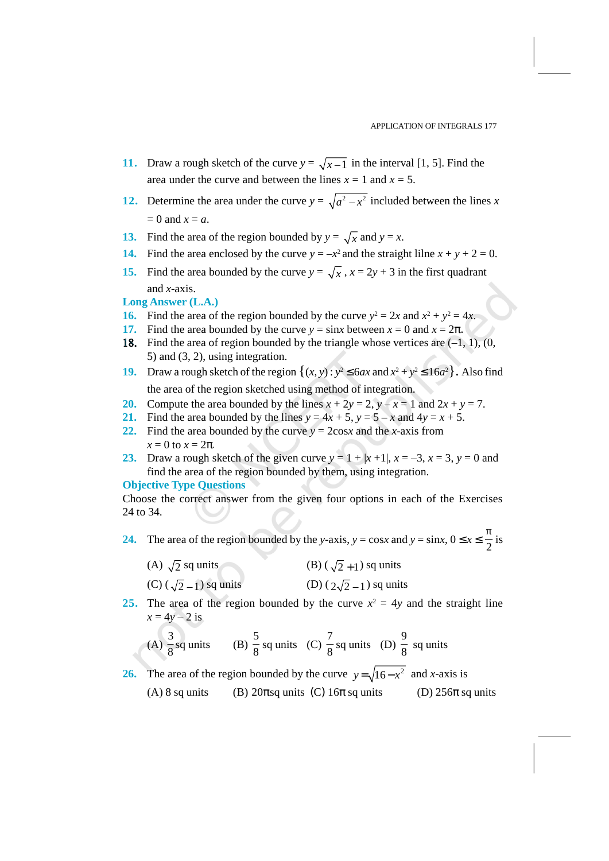- **11.** Draw a rough sketch of the curve  $y = \sqrt{x-1}$  in the interval [1, 5]. Find the area under the curve and between the lines  $x = 1$  and  $x = 5$ .
- **11.** Draw a rough sketch of the curve  $y = \sqrt{x-1}$  in the interval [1, 5]. Find the area under the curve and between the lines  $x = 1$  and  $x = 5$ .<br> **12.** Determine the area under the curve  $y = \sqrt{a^2 x^2}$  included between t  $= 0$  and  $x = a$ .
- **13.** Find the area of the region bounded by  $y = \sqrt{x}$  and  $y = x$ .
- **14.** Find the area enclosed by the curve  $y = -x^2$  and the straight lilne  $x + y + 2 = 0$ .
- **15.** Find the area bounded by the curve  $y = \sqrt{x}$ ,  $x = 2y + 3$  in the first quadrant and *x*-axis.

## **Long Answer (L.A.)**

- **16.** Find the area of the region bounded by the curve  $y^2 = 2x$  and  $x^2 + y^2 = 4x$ .
- **17.** Find the area bounded by the curve  $y = \sin x$  between  $x = 0$  and  $x = 2\pi$ .
- 18. Find the area of region bounded by the triangle whose vertices are  $(-1, 1)$ ,  $(0, 0)$ 5) and (3, 2), using integration.
- **19.** Draw a rough sketch of the region  $\{(x, y) : y^2 \le 6ax \text{ and } x^2 + y^2 \le 16a^2\}$ . Also find the area of the region sketched using method of integration.
- **20.** Compute the area bounded by the lines  $x + 2y = 2$ ,  $y x = 1$  and  $2x + y = 7$ .
- 21. Find the area bounded by the lines  $y = 4x + 5$ ,  $y = 5 x$  and  $4y = x + 5$ .
- 22. Find the area bounded by the curve  $y = 2\cos x$  and the *x*-axis from  $x = 0$  to  $x = 2π$ .
- 23. Draw a rough sketch of the given curve  $y = 1 + |x + 1|$ ,  $x = -3$ ,  $x = 3$ ,  $y = 0$  and find the area of the region bounded by them, using integration.

### **Objective Type Questions**

Choose the correct answer from the given four options in each of the Exercises 24 to 34. 24. The area of the region bounded by them, using integration.<br>
24 to 34.<br>
24. The area of the region bounded by the *y*-axis, *y* = cos*x* and *y* = sin*x*,  $0 \le x \le \frac{1}{2}$  is

is

| (A) $\sqrt{2}$ sq units         | (B) $(\sqrt{2}+1)$ sq units         |
|---------------------------------|-------------------------------------|
| $(C)$ $(\sqrt{2} + 1)$ sq units | (D) $(\gamma\sqrt{2} + 1)$ sq units |

almow a units.<br>
Find the area of the region bounded by the curve  $y^2 = 2x$  and  $x^2 + y^2 = 4x$ .<br>
Find the area of region bounded by the curve  $y = \pm x$  of  $x = 0$  and  $x = 2\pi$ .<br>
Find the area of region bounded by the triangle **25.** The area of the region bounded by the curve  $x^2 = 4y$  and the straight line  $x = 4y - 2$  is *z* = 2, *y* − *x* = 1 and 2*x* + *y* = 7.<br> *y* = 5 − *x* and 4*y* = *x* + 5.<br>
and the *x*-axis from<br>
+ *x* + 1|, *x* = −3, *x* = 3, *y* = 0 and<br>
sising integration.<br>
pptions in each of the Exercises<br> *y* = cos*x* and *y* 

16. Find the area of the region bounded by the curve 
$$
y = 2x
$$
 and  $x^2 + y^2 = 4x$ .  
\n17. Find the area bounded by the curve  $y = \sin x$  between  $x = 0$  and  $x = 2\pi$ .  
\n18. Find the area of region bounded by the triangle whose vertices are (−1, 1), (0, 5) and (3, 2), using integration.  
\n19. Draw a rough sketch of the region  $\{(x, y) : y^2 \le 6ax$  and  $x^2 + y^2 \le 16a^2\}$ . Also find the area of the region sketched using method of integration.  
\n20. Compute the area bounded by the lines  $x + 2y = 2$ ,  $y - x = 1$  and  $2x + y = 7$ .  
\n21. Find the area bounded by the lines  $x + 2y = 2$ ,  $y - x = 1$  and  $2x + y = 7$ .  
\n22. Find the area bounded by the curves  $y = 2\cos x$  and the *x*-axis from  $x = 0$  to  $x = 2\pi$ .  
\n23. Draw a rough sketch of the given curve  $y = 1 + |x + 1|$ ,  $x = -3$ ,  $x = 3$ ,  $y = 0$  and  $\sin$  and the area of the region bounded by them, using integration.  
\n24. The area of the region bounded by the *y*-axis,  $y = \cos x$  and  $y = \sin x$ ,  $0 \le x \le \frac{1}{2}$  is  
\n(A)  $\sqrt{2}$  sq units (B)  $(\sqrt{2} + 1)$  sq units  
\n(C)  $(\sqrt{2} - 1)$  sq units (D)  $(2\sqrt{2} - 1)$  sq units  
\n25. The area of the region bounded by the curve  $x^2 = 4y$  and the straight line  $x = 4y - 2$  is  
\n(A)  $\frac{3}{8}$  sq units (B)  $\frac{5}{8}$  sq units (C)  $\frac{7}{8}$  sq units (D)  $\frac{9}{8}$  sq units  
\n26. The area of the region bounded by the curve  $y = \sqrt{16 - x^2}$  and *x*-axis is  
\n(A) 8 sq units (B) 20 $\pi$  sq units (C) 16 $\pi$  sq